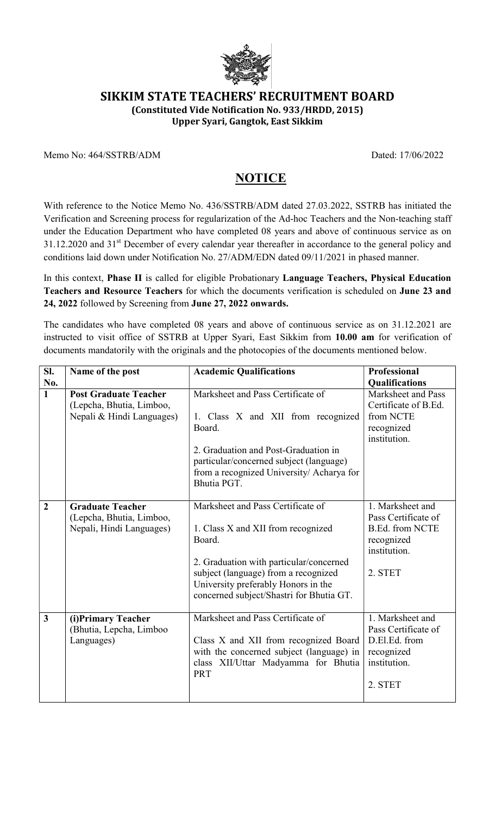

# SIKKIM STATE TEACHERS' RECRUITMENT BOARD

(Constituted Vide Notification No. 933/HRDD, 2015)

Upper Syari, Gangtok, East Sikkim

Memo No: 464/SSTRB/ADM Dated: 17/06/2022

# **NOTICE**

With reference to the Notice Memo No. 436/SSTRB/ADM dated 27.03.2022, SSTRB has initiated the Verification and Screening process for regularization of the Ad-hoc Teachers and the Non-teaching staff under the Education Department who have completed 08 years and above of continuous service as on 31.12.2020 and 31<sup>st</sup> December of every calendar year thereafter in accordance to the general policy and conditions laid down under Notification No. 27/ADM/EDN dated 09/11/2021 in phased manner.

In this context, Phase II is called for eligible Probationary Language Teachers, Physical Education Teachers and Resource Teachers for which the documents verification is scheduled on June 23 and 24, 2022 followed by Screening from June 27, 2022 onwards.

The candidates who have completed 08 years and above of continuous service as on 31.12.2021 are instructed to visit office of SSTRB at Upper Syari, East Sikkim from 10.00 am for verification of documents mandatorily with the originals and the photocopies of the documents mentioned below.

| Sl.                     | Name of the post                                                                      | <b>Academic Qualifications</b>                                                                                                                                                                                                                          | <b>Professional</b>                                                                                        |
|-------------------------|---------------------------------------------------------------------------------------|---------------------------------------------------------------------------------------------------------------------------------------------------------------------------------------------------------------------------------------------------------|------------------------------------------------------------------------------------------------------------|
| No.                     |                                                                                       |                                                                                                                                                                                                                                                         | Qualifications                                                                                             |
| $\mathbf{1}$            | <b>Post Graduate Teacher</b><br>(Lepcha, Bhutia, Limboo,<br>Nepali & Hindi Languages) | Marksheet and Pass Certificate of<br>1. Class X and XII from recognized<br>Board.                                                                                                                                                                       | Marksheet and Pass<br>Certificate of B.Ed.<br>from NCTE<br>recognized<br>institution.                      |
|                         |                                                                                       | 2. Graduation and Post-Graduation in<br>particular/concerned subject (language)<br>from a recognized University/ Acharya for<br>Bhutia PGT.                                                                                                             |                                                                                                            |
| $\overline{2}$          | <b>Graduate Teacher</b><br>(Lepcha, Bhutia, Limboo,<br>Nepali, Hindi Languages)       | Marksheet and Pass Certificate of<br>1. Class X and XII from recognized<br>Board.<br>2. Graduation with particular/concerned<br>subject (language) from a recognized<br>University preferably Honors in the<br>concerned subject/Shastri for Bhutia GT. | 1. Marksheet and<br>Pass Certificate of<br><b>B.Ed. from NCTE</b><br>recognized<br>institution.<br>2. STET |
| $\overline{\mathbf{3}}$ | (i)Primary Teacher<br>(Bhutia, Lepcha, Limboo<br>Languages)                           | Marksheet and Pass Certificate of<br>Class X and XII from recognized Board<br>with the concerned subject (language) in<br>class XII/Uttar Madyamma for Bhutia<br><b>PRT</b>                                                                             | 1. Marksheet and<br>Pass Certificate of<br>D.El.Ed. from<br>recognized<br>institution.<br>2. STET          |